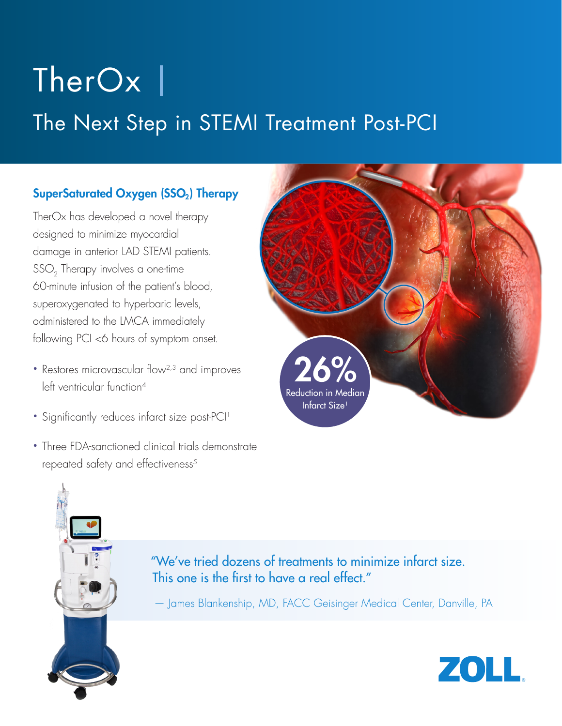# TherOx |

## The Next Step in STEMI Treatment Post-PCI

#### SuperSaturated Oxygen (SSO<sub>2</sub>) Therapy

TherOx has developed a novel therapy designed to minimize myocardial damage in anterior LAD STEMI patients. SSO<sub>2</sub> Therapy involves a one-time 60-minute infusion of the patient's blood, superoxygenated to hyperbaric levels, administered to the LMCA immediately following PCI <6 hours of symptom onset.

- Restores microvascular flow<sup>2,3</sup> and improves left ventricular function<sup>4</sup>
- Significantly reduces infarct size post-PCI<sup>1</sup>
- Three FDA-sanctioned clinical trials demonstrate repeated safety and effectiveness<sup>5</sup>



#### "We've tried dozens of treatments to minimize infarct size. This one is the first to have a real effect."

— James Blankenship, MD, FACC Geisinger Medical Center, Danville, PA